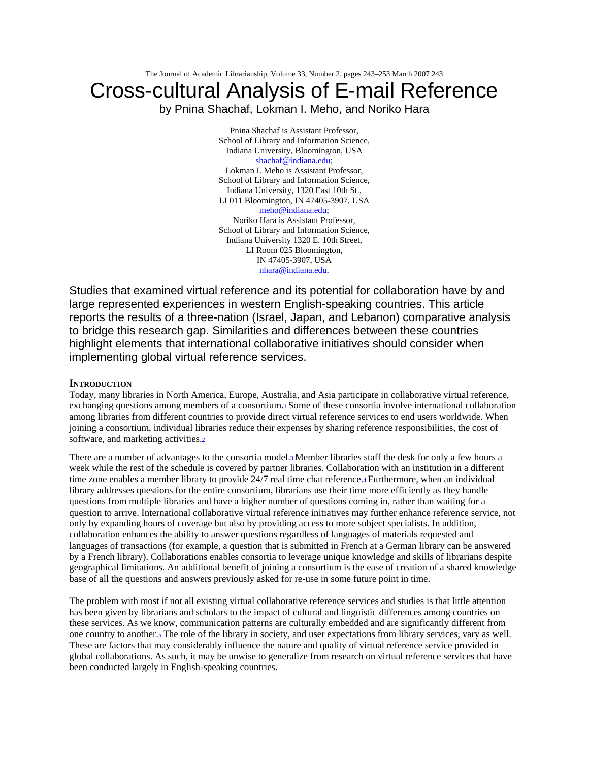The Journal of Academic Librarianship, Volume 33, Number 2, pages 243–253 March 2007 243

# Cross-cultural Analysis of E-mail Reference

by Pnina Shachaf, Lokman I. Meho, and Noriko Hara

Pnina Shachaf is Assistant Professor, School of Library and Information Science, Indiana University, Bloomington, USA shachaf@indiana.edu; Lokman I. Meho is Assistant Professor, School of Library and Information Science, Indiana University, 1320 East 10th St., LI 011 Bloomington, IN 47405-3907, USA meho@indiana.edu; Noriko Hara is Assistant Professor, School of Library and Information Science, Indiana University 1320 E. 10th Street, LI Room 025 Bloomington, IN 47405-3907, USA nhara@indiana.edu.

Studies that examined virtual reference and its potential for collaboration have by and large represented experiences in western English-speaking countries. This article reports the results of a three-nation (Israel, Japan, and Lebanon) comparative analysis to bridge this research gap. Similarities and differences between these countries highlight elements that international collaborative initiatives should consider when implementing global virtual reference services.

## **INTRODUCTION**

Today, many libraries in North America, Europe, Australia, and Asia participate in collaborative virtual reference, exchanging questions among members of a consortium.1 Some of these consortia involve international collaboration among libraries from different countries to provide direct virtual reference services to end users worldwide. When joining a consortium, individual libraries reduce their expenses by sharing reference responsibilities, the cost of software, and marketing activities.2

There are a number of advantages to the consortia model.3 Member libraries staff the desk for only a few hours a week while the rest of the schedule is covered by partner libraries. Collaboration with an institution in a different time zone enables a member library to provide 24/7 real time chat reference.4 Furthermore, when an individual library addresses questions for the entire consortium, librarians use their time more efficiently as they handle questions from multiple libraries and have a higher number of questions coming in, rather than waiting for a question to arrive. International collaborative virtual reference initiatives may further enhance reference service, not only by expanding hours of coverage but also by providing access to more subject specialists. In addition, collaboration enhances the ability to answer questions regardless of languages of materials requested and languages of transactions (for example, a question that is submitted in French at a German library can be answered by a French library). Collaborations enables consortia to leverage unique knowledge and skills of librarians despite geographical limitations. An additional benefit of joining a consortium is the ease of creation of a shared knowledge base of all the questions and answers previously asked for re-use in some future point in time.

The problem with most if not all existing virtual collaborative reference services and studies is that little attention has been given by librarians and scholars to the impact of cultural and linguistic differences among countries on these services. As we know, communication patterns are culturally embedded and are significantly different from one country to another.5 The role of the library in society, and user expectations from library services, vary as well. These are factors that may considerably influence the nature and quality of virtual reference service provided in global collaborations. As such, it may be unwise to generalize from research on virtual reference services that have been conducted largely in English-speaking countries.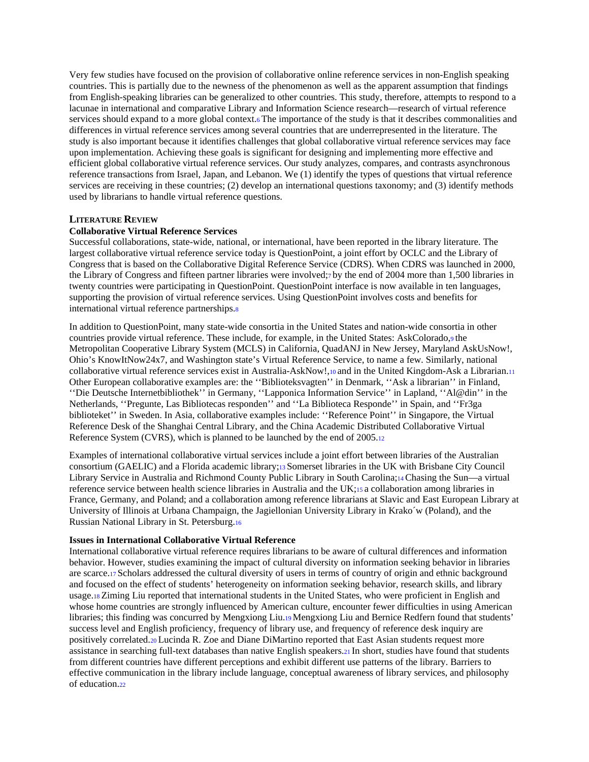Very few studies have focused on the provision of collaborative online reference services in non-English speaking countries. This is partially due to the newness of the phenomenon as well as the apparent assumption that findings from English-speaking libraries can be generalized to other countries. This study, therefore, attempts to respond to a lacunae in international and comparative Library and Information Science research—research of virtual reference services should expand to a more global context.6 The importance of the study is that it describes commonalities and differences in virtual reference services among several countries that are underrepresented in the literature. The study is also important because it identifies challenges that global collaborative virtual reference services may face upon implementation. Achieving these goals is significant for designing and implementing more effective and efficient global collaborative virtual reference services. Our study analyzes, compares, and contrasts asynchronous reference transactions from Israel, Japan, and Lebanon. We (1) identify the types of questions that virtual reference services are receiving in these countries; (2) develop an international questions taxonomy; and (3) identify methods used by librarians to handle virtual reference questions.

# **LITERATURE REVIEW**

#### **Collaborative Virtual Reference Services**

Successful collaborations, state-wide, national, or international, have been reported in the library literature. The largest collaborative virtual reference service today is QuestionPoint, a joint effort by OCLC and the Library of Congress that is based on the Collaborative Digital Reference Service (CDRS). When CDRS was launched in 2000, the Library of Congress and fifteen partner libraries were involved;7 by the end of 2004 more than 1,500 libraries in twenty countries were participating in QuestionPoint. QuestionPoint interface is now available in ten languages, supporting the provision of virtual reference services. Using QuestionPoint involves costs and benefits for international virtual reference partnerships.8

In addition to QuestionPoint, many state-wide consortia in the United States and nation-wide consortia in other countries provide virtual reference. These include, for example, in the United States: AskColorado,9 the Metropolitan Cooperative Library System (MCLS) in California, QuadANJ in New Jersey, Maryland AskUsNow!, Ohio's KnowItNow24x7, and Washington state's Virtual Reference Service, to name a few. Similarly, national collaborative virtual reference services exist in Australia-AskNow!,10 and in the United Kingdom-Ask a Librarian.11 Other European collaborative examples are: the ''Biblioteksvagten'' in Denmark, ''Ask a librarian'' in Finland, ''Die Deutsche Internetbibliothek'' in Germany, ''Lapponica Information Service'' in Lapland, ''Al@din'' in the Netherlands, ''Pregunte, Las Bibliotecas responden'' and ''La Biblioteca Responde'' in Spain, and ''Fr3ga biblioteket'' in Sweden. In Asia, collaborative examples include: ''Reference Point'' in Singapore, the Virtual Reference Desk of the Shanghai Central Library, and the China Academic Distributed Collaborative Virtual Reference System (CVRS), which is planned to be launched by the end of 2005.12

Examples of international collaborative virtual services include a joint effort between libraries of the Australian consortium (GAELIC) and a Florida academic library;13 Somerset libraries in the UK with Brisbane City Council Library Service in Australia and Richmond County Public Library in South Carolina;14 Chasing the Sun—a virtual reference service between health science libraries in Australia and the UK;15 a collaboration among libraries in France, Germany, and Poland; and a collaboration among reference librarians at Slavic and East European Library at University of Illinois at Urbana Champaign, the Jagiellonian University Library in Krako´w (Poland), and the Russian National Library in St. Petersburg.16

#### **Issues in International Collaborative Virtual Reference**

International collaborative virtual reference requires librarians to be aware of cultural differences and information behavior. However, studies examining the impact of cultural diversity on information seeking behavior in libraries are scarce.17 Scholars addressed the cultural diversity of users in terms of country of origin and ethnic background and focused on the effect of students' heterogeneity on information seeking behavior, research skills, and library usage.18 Ziming Liu reported that international students in the United States, who were proficient in English and whose home countries are strongly influenced by American culture, encounter fewer difficulties in using American libraries; this finding was concurred by Mengxiong Liu.19 Mengxiong Liu and Bernice Redfern found that students' success level and English proficiency, frequency of library use, and frequency of reference desk inquiry are positively correlated.20 Lucinda R. Zoe and Diane DiMartino reported that East Asian students request more assistance in searching full-text databases than native English speakers.21 In short, studies have found that students from different countries have different perceptions and exhibit different use patterns of the library. Barriers to effective communication in the library include language, conceptual awareness of library services, and philosophy of education.22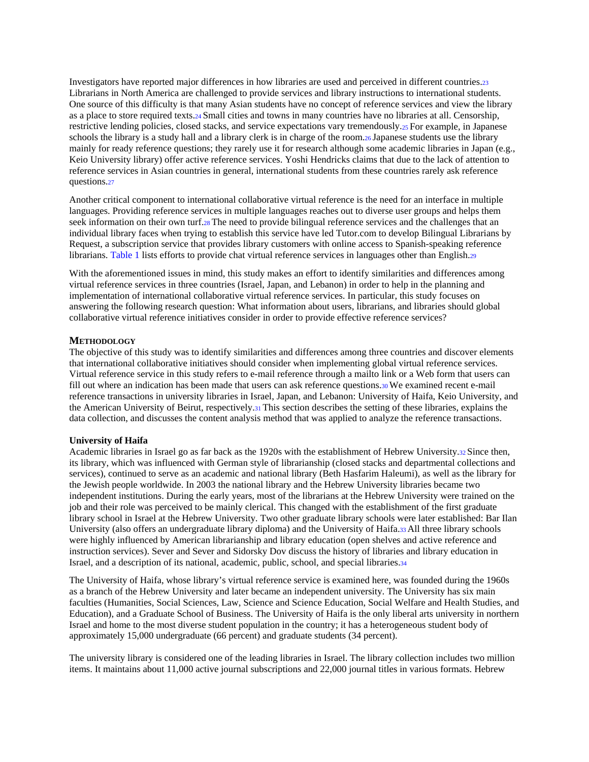Investigators have reported major differences in how libraries are used and perceived in different countries.23 Librarians in North America are challenged to provide services and library instructions to international students. One source of this difficulty is that many Asian students have no concept of reference services and view the library as a place to store required texts.24 Small cities and towns in many countries have no libraries at all. Censorship, restrictive lending policies, closed stacks, and service expectations vary tremendously.25 For example, in Japanese schools the library is a study hall and a library clerk is in charge of the room.26 Japanese students use the library mainly for ready reference questions; they rarely use it for research although some academic libraries in Japan (e.g., Keio University library) offer active reference services. Yoshi Hendricks claims that due to the lack of attention to reference services in Asian countries in general, international students from these countries rarely ask reference questions.27

Another critical component to international collaborative virtual reference is the need for an interface in multiple languages. Providing reference services in multiple languages reaches out to diverse user groups and helps them seek information on their own turf.28 The need to provide bilingual reference services and the challenges that an individual library faces when trying to establish this service have led Tutor.com to develop Bilingual Librarians by Request, a subscription service that provides library customers with online access to Spanish-speaking reference librarians. Table 1 lists efforts to provide chat virtual reference services in languages other than English.29

With the aforementioned issues in mind, this study makes an effort to identify similarities and differences among virtual reference services in three countries (Israel, Japan, and Lebanon) in order to help in the planning and implementation of international collaborative virtual reference services. In particular, this study focuses on answering the following research question: What information about users, librarians, and libraries should global collaborative virtual reference initiatives consider in order to provide effective reference services?

# **METHODOLOGY**

The objective of this study was to identify similarities and differences among three countries and discover elements that international collaborative initiatives should consider when implementing global virtual reference services. Virtual reference service in this study refers to e-mail reference through a mailto link or a Web form that users can fill out where an indication has been made that users can ask reference questions.30 We examined recent e-mail reference transactions in university libraries in Israel, Japan, and Lebanon: University of Haifa, Keio University, and the American University of Beirut, respectively.31 This section describes the setting of these libraries, explains the data collection, and discusses the content analysis method that was applied to analyze the reference transactions.

#### **University of Haifa**

Academic libraries in Israel go as far back as the 1920s with the establishment of Hebrew University.32 Since then, its library, which was influenced with German style of librarianship (closed stacks and departmental collections and services), continued to serve as an academic and national library (Beth Hasfarim Haleumi), as well as the library for the Jewish people worldwide. In 2003 the national library and the Hebrew University libraries became two independent institutions. During the early years, most of the librarians at the Hebrew University were trained on the job and their role was perceived to be mainly clerical. This changed with the establishment of the first graduate library school in Israel at the Hebrew University. Two other graduate library schools were later established: Bar Ilan University (also offers an undergraduate library diploma) and the University of Haifa.33 All three library schools were highly influenced by American librarianship and library education (open shelves and active reference and instruction services). Sever and Sever and Sidorsky Dov discuss the history of libraries and library education in Israel, and a description of its national, academic, public, school, and special libraries.34

The University of Haifa, whose library's virtual reference service is examined here, was founded during the 1960s as a branch of the Hebrew University and later became an independent university. The University has six main faculties (Humanities, Social Sciences, Law, Science and Science Education, Social Welfare and Health Studies, and Education), and a Graduate School of Business. The University of Haifa is the only liberal arts university in northern Israel and home to the most diverse student population in the country; it has a heterogeneous student body of approximately 15,000 undergraduate (66 percent) and graduate students (34 percent).

The university library is considered one of the leading libraries in Israel. The library collection includes two million items. It maintains about 11,000 active journal subscriptions and 22,000 journal titles in various formats. Hebrew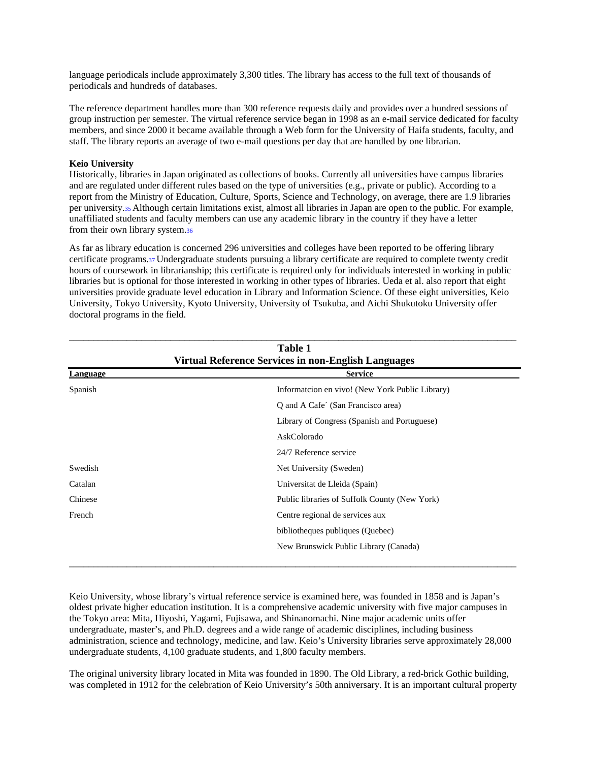language periodicals include approximately 3,300 titles. The library has access to the full text of thousands of periodicals and hundreds of databases.

The reference department handles more than 300 reference requests daily and provides over a hundred sessions of group instruction per semester. The virtual reference service began in 1998 as an e-mail service dedicated for faculty members, and since 2000 it became available through a Web form for the University of Haifa students, faculty, and staff. The library reports an average of two e-mail questions per day that are handled by one librarian.

## **Keio University**

Historically, libraries in Japan originated as collections of books. Currently all universities have campus libraries and are regulated under different rules based on the type of universities (e.g., private or public). According to a report from the Ministry of Education, Culture, Sports, Science and Technology, on average, there are 1.9 libraries per university.35 Although certain limitations exist, almost all libraries in Japan are open to the public. For example, unaffiliated students and faculty members can use any academic library in the country if they have a letter from their own library system.36

As far as library education is concerned 296 universities and colleges have been reported to be offering library certificate programs.37 Undergraduate students pursuing a library certificate are required to complete twenty credit hours of coursework in librarianship; this certificate is required only for individuals interested in working in public libraries but is optional for those interested in working in other types of libraries. Ueda et al. also report that eight universities provide graduate level education in Library and Information Science. Of these eight universities, Keio University, Tokyo University, Kyoto University, University of Tsukuba, and Aichi Shukutoku University offer doctoral programs in the field.

| <b>Table 1</b><br><b>Virtual Reference Services in non-English Languages</b> |                                                 |  |  |  |  |
|------------------------------------------------------------------------------|-------------------------------------------------|--|--|--|--|
| Language                                                                     | <b>Service</b>                                  |  |  |  |  |
| Spanish                                                                      | Informatcion en vivo! (New York Public Library) |  |  |  |  |
|                                                                              | Q and A Cafe' (San Francisco area)              |  |  |  |  |
|                                                                              | Library of Congress (Spanish and Portuguese)    |  |  |  |  |
|                                                                              | AskColorado                                     |  |  |  |  |
|                                                                              | 24/7 Reference service                          |  |  |  |  |
| Swedish                                                                      | Net University (Sweden)                         |  |  |  |  |
| Catalan                                                                      | Universitat de Lleida (Spain)                   |  |  |  |  |
| Chinese                                                                      | Public libraries of Suffolk County (New York)   |  |  |  |  |
| French                                                                       | Centre regional de services aux                 |  |  |  |  |
|                                                                              | bibliotheques publiques (Quebec)                |  |  |  |  |
|                                                                              | New Brunswick Public Library (Canada)           |  |  |  |  |

Keio University, whose library's virtual reference service is examined here, was founded in 1858 and is Japan's oldest private higher education institution. It is a comprehensive academic university with five major campuses in the Tokyo area: Mita, Hiyoshi, Yagami, Fujisawa, and Shinanomachi. Nine major academic units offer undergraduate, master's, and Ph.D. degrees and a wide range of academic disciplines, including business administration, science and technology, medicine, and law. Keio's University libraries serve approximately 28,000 undergraduate students, 4,100 graduate students, and 1,800 faculty members.

The original university library located in Mita was founded in 1890. The Old Library, a red-brick Gothic building, was completed in 1912 for the celebration of Keio University's 50th anniversary. It is an important cultural property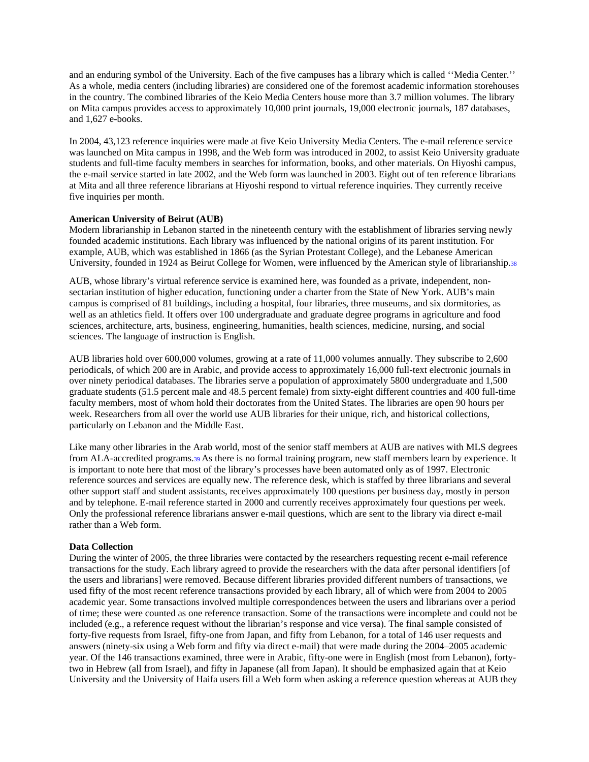and an enduring symbol of the University. Each of the five campuses has a library which is called ''Media Center.'' As a whole, media centers (including libraries) are considered one of the foremost academic information storehouses in the country. The combined libraries of the Keio Media Centers house more than 3.7 million volumes. The library on Mita campus provides access to approximately 10,000 print journals, 19,000 electronic journals, 187 databases, and 1,627 e-books.

In 2004, 43,123 reference inquiries were made at five Keio University Media Centers. The e-mail reference service was launched on Mita campus in 1998, and the Web form was introduced in 2002, to assist Keio University graduate students and full-time faculty members in searches for information, books, and other materials. On Hiyoshi campus, the e-mail service started in late 2002, and the Web form was launched in 2003. Eight out of ten reference librarians at Mita and all three reference librarians at Hiyoshi respond to virtual reference inquiries. They currently receive five inquiries per month.

# **American University of Beirut (AUB)**

Modern librarianship in Lebanon started in the nineteenth century with the establishment of libraries serving newly founded academic institutions. Each library was influenced by the national origins of its parent institution. For example, AUB, which was established in 1866 (as the Syrian Protestant College), and the Lebanese American University, founded in 1924 as Beirut College for Women, were influenced by the American style of librarianship.38

AUB, whose library's virtual reference service is examined here, was founded as a private, independent, nonsectarian institution of higher education, functioning under a charter from the State of New York. AUB's main campus is comprised of 81 buildings, including a hospital, four libraries, three museums, and six dormitories, as well as an athletics field. It offers over 100 undergraduate and graduate degree programs in agriculture and food sciences, architecture, arts, business, engineering, humanities, health sciences, medicine, nursing, and social sciences. The language of instruction is English.

AUB libraries hold over 600,000 volumes, growing at a rate of 11,000 volumes annually. They subscribe to 2,600 periodicals, of which 200 are in Arabic, and provide access to approximately 16,000 full-text electronic journals in over ninety periodical databases. The libraries serve a population of approximately 5800 undergraduate and 1,500 graduate students (51.5 percent male and 48.5 percent female) from sixty-eight different countries and 400 full-time faculty members, most of whom hold their doctorates from the United States. The libraries are open 90 hours per week. Researchers from all over the world use AUB libraries for their unique, rich, and historical collections, particularly on Lebanon and the Middle East.

Like many other libraries in the Arab world, most of the senior staff members at AUB are natives with MLS degrees from ALA-accredited programs.39 As there is no formal training program, new staff members learn by experience. It is important to note here that most of the library's processes have been automated only as of 1997. Electronic reference sources and services are equally new. The reference desk, which is staffed by three librarians and several other support staff and student assistants, receives approximately 100 questions per business day, mostly in person and by telephone. E-mail reference started in 2000 and currently receives approximately four questions per week. Only the professional reference librarians answer e-mail questions, which are sent to the library via direct e-mail rather than a Web form.

#### **Data Collection**

During the winter of 2005, the three libraries were contacted by the researchers requesting recent e-mail reference transactions for the study. Each library agreed to provide the researchers with the data after personal identifiers [of the users and librarians] were removed. Because different libraries provided different numbers of transactions, we used fifty of the most recent reference transactions provided by each library, all of which were from 2004 to 2005 academic year. Some transactions involved multiple correspondences between the users and librarians over a period of time; these were counted as one reference transaction. Some of the transactions were incomplete and could not be included (e.g., a reference request without the librarian's response and vice versa). The final sample consisted of forty-five requests from Israel, fifty-one from Japan, and fifty from Lebanon, for a total of 146 user requests and answers (ninety-six using a Web form and fifty via direct e-mail) that were made during the 2004–2005 academic year. Of the 146 transactions examined, three were in Arabic, fifty-one were in English (most from Lebanon), fortytwo in Hebrew (all from Israel), and fifty in Japanese (all from Japan). It should be emphasized again that at Keio University and the University of Haifa users fill a Web form when asking a reference question whereas at AUB they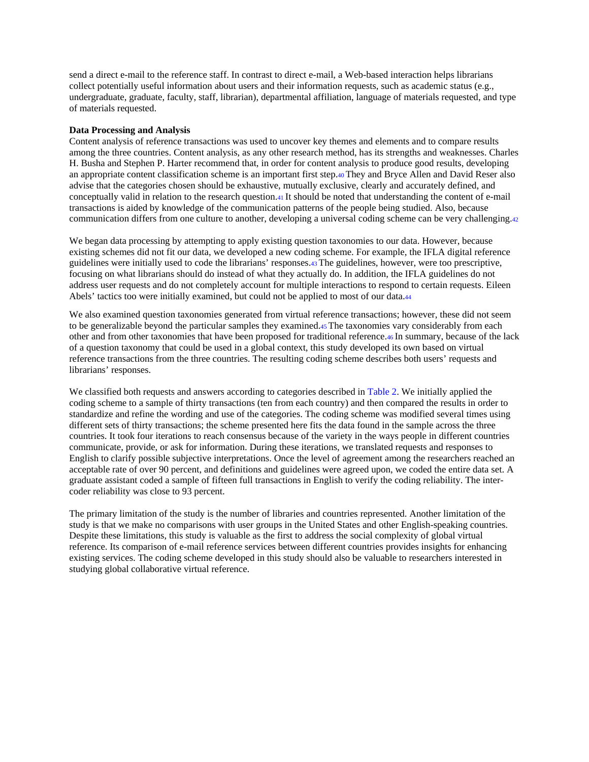send a direct e-mail to the reference staff. In contrast to direct e-mail, a Web-based interaction helps librarians collect potentially useful information about users and their information requests, such as academic status (e.g., undergraduate, graduate, faculty, staff, librarian), departmental affiliation, language of materials requested, and type of materials requested.

#### **Data Processing and Analysis**

Content analysis of reference transactions was used to uncover key themes and elements and to compare results among the three countries. Content analysis, as any other research method, has its strengths and weaknesses. Charles H. Busha and Stephen P. Harter recommend that, in order for content analysis to produce good results, developing an appropriate content classification scheme is an important first step.40 They and Bryce Allen and David Reser also advise that the categories chosen should be exhaustive, mutually exclusive, clearly and accurately defined, and conceptually valid in relation to the research question.41 It should be noted that understanding the content of e-mail transactions is aided by knowledge of the communication patterns of the people being studied. Also, because communication differs from one culture to another, developing a universal coding scheme can be very challenging.42

We began data processing by attempting to apply existing question taxonomies to our data. However, because existing schemes did not fit our data, we developed a new coding scheme. For example, the IFLA digital reference guidelines were initially used to code the librarians' responses.43 The guidelines, however, were too prescriptive, focusing on what librarians should do instead of what they actually do. In addition, the IFLA guidelines do not address user requests and do not completely account for multiple interactions to respond to certain requests. Eileen Abels' tactics too were initially examined, but could not be applied to most of our data.44

We also examined question taxonomies generated from virtual reference transactions; however, these did not seem to be generalizable beyond the particular samples they examined.45 The taxonomies vary considerably from each other and from other taxonomies that have been proposed for traditional reference.46 In summary, because of the lack of a question taxonomy that could be used in a global context, this study developed its own based on virtual reference transactions from the three countries. The resulting coding scheme describes both users' requests and librarians' responses.

We classified both requests and answers according to categories described in Table 2. We initially applied the coding scheme to a sample of thirty transactions (ten from each country) and then compared the results in order to standardize and refine the wording and use of the categories. The coding scheme was modified several times using different sets of thirty transactions; the scheme presented here fits the data found in the sample across the three countries. It took four iterations to reach consensus because of the variety in the ways people in different countries communicate, provide, or ask for information. During these iterations, we translated requests and responses to English to clarify possible subjective interpretations. Once the level of agreement among the researchers reached an acceptable rate of over 90 percent, and definitions and guidelines were agreed upon, we coded the entire data set. A graduate assistant coded a sample of fifteen full transactions in English to verify the coding reliability. The intercoder reliability was close to 93 percent.

The primary limitation of the study is the number of libraries and countries represented. Another limitation of the study is that we make no comparisons with user groups in the United States and other English-speaking countries. Despite these limitations, this study is valuable as the first to address the social complexity of global virtual reference. Its comparison of e-mail reference services between different countries provides insights for enhancing existing services. The coding scheme developed in this study should also be valuable to researchers interested in studying global collaborative virtual reference.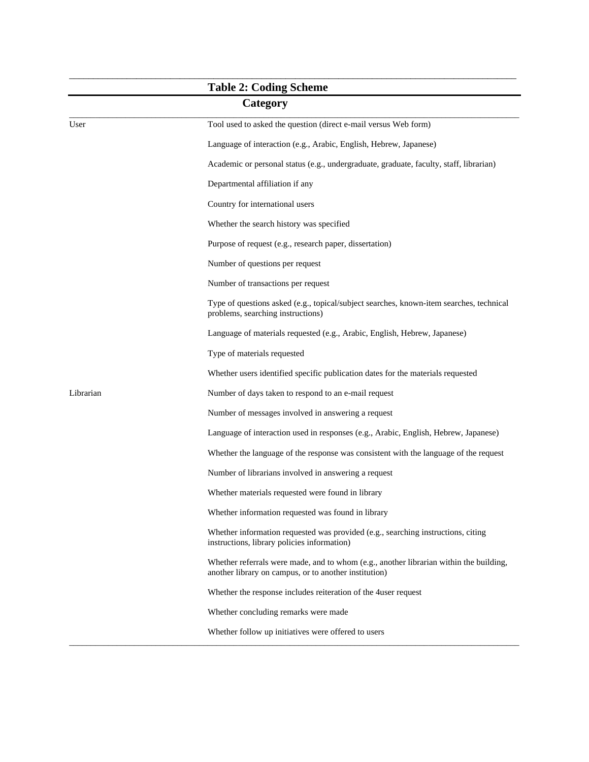|           | <b>Table 2: Coding Scheme</b>                                                                                                                   |
|-----------|-------------------------------------------------------------------------------------------------------------------------------------------------|
|           | Category                                                                                                                                        |
| User      | Tool used to asked the question (direct e-mail versus Web form)                                                                                 |
|           | Language of interaction (e.g., Arabic, English, Hebrew, Japanese)                                                                               |
|           | Academic or personal status (e.g., undergraduate, graduate, faculty, staff, librarian)                                                          |
|           | Departmental affiliation if any                                                                                                                 |
|           | Country for international users                                                                                                                 |
|           | Whether the search history was specified                                                                                                        |
|           | Purpose of request (e.g., research paper, dissertation)                                                                                         |
|           | Number of questions per request                                                                                                                 |
|           | Number of transactions per request                                                                                                              |
|           | Type of questions asked (e.g., topical/subject searches, known-item searches, technical<br>problems, searching instructions)                    |
|           | Language of materials requested (e.g., Arabic, English, Hebrew, Japanese)                                                                       |
|           | Type of materials requested                                                                                                                     |
|           | Whether users identified specific publication dates for the materials requested                                                                 |
| Librarian | Number of days taken to respond to an e-mail request                                                                                            |
|           | Number of messages involved in answering a request                                                                                              |
|           | Language of interaction used in responses (e.g., Arabic, English, Hebrew, Japanese)                                                             |
|           | Whether the language of the response was consistent with the language of the request                                                            |
|           | Number of librarians involved in answering a request                                                                                            |
|           | Whether materials requested were found in library                                                                                               |
|           | Whether information requested was found in library                                                                                              |
|           | Whether information requested was provided (e.g., searching instructions, citing<br>instructions, library policies information)                 |
|           | Whether referrals were made, and to whom (e.g., another librarian within the building,<br>another library on campus, or to another institution) |
|           | Whether the response includes reiteration of the 4 user request                                                                                 |
|           | Whether concluding remarks were made                                                                                                            |
|           | Whether follow up initiatives were offered to users                                                                                             |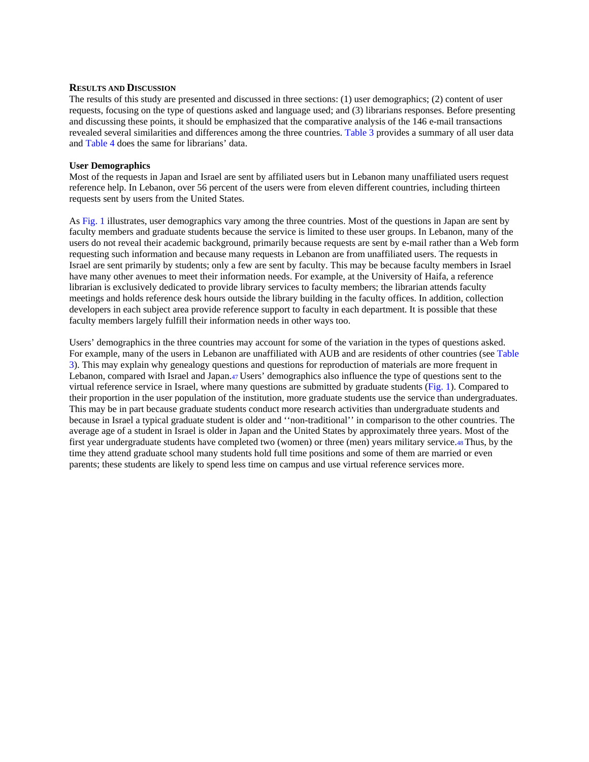#### **RESULTS AND DISCUSSION**

The results of this study are presented and discussed in three sections: (1) user demographics; (2) content of user requests, focusing on the type of questions asked and language used; and (3) librarians responses. Before presenting and discussing these points, it should be emphasized that the comparative analysis of the 146 e-mail transactions revealed several similarities and differences among the three countries. Table 3 provides a summary of all user data and Table 4 does the same for librarians' data.

# **User Demographics**

Most of the requests in Japan and Israel are sent by affiliated users but in Lebanon many unaffiliated users request reference help. In Lebanon, over 56 percent of the users were from eleven different countries, including thirteen requests sent by users from the United States.

As Fig. 1 illustrates, user demographics vary among the three countries. Most of the questions in Japan are sent by faculty members and graduate students because the service is limited to these user groups. In Lebanon, many of the users do not reveal their academic background, primarily because requests are sent by e-mail rather than a Web form requesting such information and because many requests in Lebanon are from unaffiliated users. The requests in Israel are sent primarily by students; only a few are sent by faculty. This may be because faculty members in Israel have many other avenues to meet their information needs. For example, at the University of Haifa, a reference librarian is exclusively dedicated to provide library services to faculty members; the librarian attends faculty meetings and holds reference desk hours outside the library building in the faculty offices. In addition, collection developers in each subject area provide reference support to faculty in each department. It is possible that these faculty members largely fulfill their information needs in other ways too.

Users' demographics in the three countries may account for some of the variation in the types of questions asked. For example, many of the users in Lebanon are unaffiliated with AUB and are residents of other countries (see Table 3). This may explain why genealogy questions and questions for reproduction of materials are more frequent in Lebanon, compared with Israel and Japan.47 Users' demographics also influence the type of questions sent to the virtual reference service in Israel, where many questions are submitted by graduate students (Fig. 1). Compared to their proportion in the user population of the institution, more graduate students use the service than undergraduates. This may be in part because graduate students conduct more research activities than undergraduate students and because in Israel a typical graduate student is older and ''non-traditional'' in comparison to the other countries. The average age of a student in Israel is older in Japan and the United States by approximately three years. Most of the first year undergraduate students have completed two (women) or three (men) years military service.48 Thus, by the time they attend graduate school many students hold full time positions and some of them are married or even parents; these students are likely to spend less time on campus and use virtual reference services more.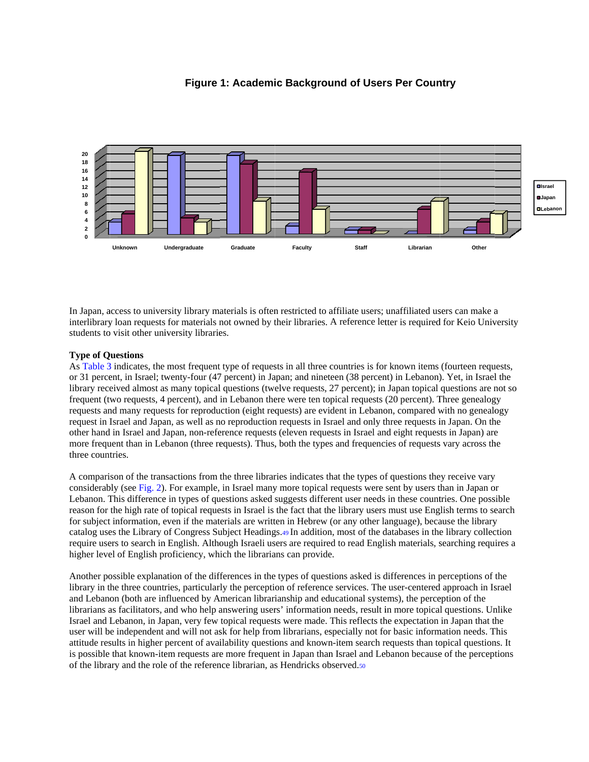

# **Figure 1: Academic Background of Users Per Country**

In Japan, access to university library materials is often restricted to affiliate users; unaffiliated users can make a interlibrary loan requests for materials not owned by their libraries. A reference letter is required for Keio University students to visit other university libraries.

# **Type of Q Questions**

As Table 3 indicates, the most frequent type of requests in all three countries is for known items (fourteen requests, or 31 percent, in Israel; twenty-four (47 percent) in Japan; and nineteen (38 percent) in Lebanon). Yet, in Israel the library received almost as many topical questions (twelve requests, 27 percent); in Japan topical questions are not so frequent (two requests, 4 percent), and in Lebanon there were ten topical requests (20 percent). Three genealogy requests and many requests for reproduction (eight requests) are evident in Lebanon, compared with no genealogy request in Israel and Japan, as well as no reproduction requests in Israel and only three requests in Japan. On the other hand in Israel and Japan, non-reference requests (eleven requests in Israel and eight requests in Japan) are other hand in Israel and Japan, non-reference requests (eleven requests in Israel and eight requests in Japan) are<br>more frequent than in Lebanon (three requests). Thus, both the types and frequencies of requests vary acros three countries.

A comparison of the transactions from the three libraries indicates that the types of questions they receive vary A comparison of the transactions from the three libraries indicates that the types of questions they receive vary considerably (see Fig. 2). For example, in Israel many more topical requests were sent by users than in Japa Lebanon. This difference in types of questions asked suggests different user needs in these countries. One possible reason for the high rate of topical requests in Israel is the fact that the library users must use English terms to search for subject information, even if the materials are written in Hebrew (or any other language), because the library for subject information, even if the materials are written in Hebrew (or any other language), because the library<br>catalog uses the Library of Congress Subject Headings.49 In addition, most of the databases in the library c require users to search in English. Although Israeli users are required to read English materials, searching requires a higher level of English proficiency, which the librarians can provide.

Another possible explanation of the differences in the types of questions asked is differences in perceptions of the library in the three countries, particularly the perception of reference services. The user-centered approach in Israel and Lebanon (both are influenced by American librarianship and educational systems), the perception of the librarians as facilitators, and who help answering users' information needs, result in more topical questions. Unlike Israel and Lebanon, in Japan, very few topical requests were made. This reflects the expectation in Japan that the user will be independent and will not ask for help from librarians, especially not for basic information needs. This attitude results in higher percent of availability questions and known-item search requests than topical questions. It is possible that known-item requests are more frequent in Japan than Israel and Lebanon because of the perceptions of the library and the role of the reference librarian, as Hendricks observed.<sup>50</sup>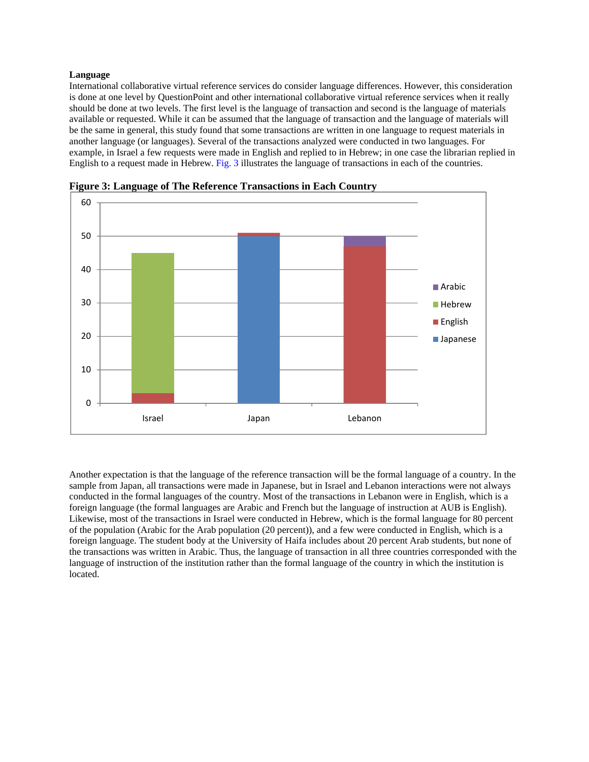# **Language**

International collaborative virtual reference services do consider language differences. However, this consideration is done at one level by QuestionPoint and other international collaborative virtual reference services when it really should be done at two levels. The first level is the language of transaction and second is the language of materials available or requested. While it can be assumed that the language of transaction and the language of materials will be the same in general, this study found that some transactions are written in one language to request materials in another language (or languages). Several of the transactions analyzed were conducted in two languages. For example, in Israel a few requests were made in English and replied to in Hebrew; in one case the librarian replied in English to a request made in Hebrew. Fig. 3 illustrates the language of transactions in each of the countries.



**Figure 3: Language of The Reference Transactions in Each Country**

Another expectation is that the language of the reference transaction will be the formal language of a country. In the sample from Japan, all transactions were made in Japanese, but in Israel and Lebanon interactions were not always conducted in the formal languages of the country. Most of the transactions in Lebanon were in English, which is a foreign language (the formal languages are Arabic and French but the language of instruction at AUB is English). Likewise, most of the transactions in Israel were conducted in Hebrew, which is the formal language for 80 percent of the population (Arabic for the Arab population (20 percent)), and a few were conducted in English, which is a foreign language. The student body at the University of Haifa includes about 20 percent Arab students, but none of the transactions was written in Arabic. Thus, the language of transaction in all three countries corresponded with the language of instruction of the institution rather than the formal language of the country in which the institution is located.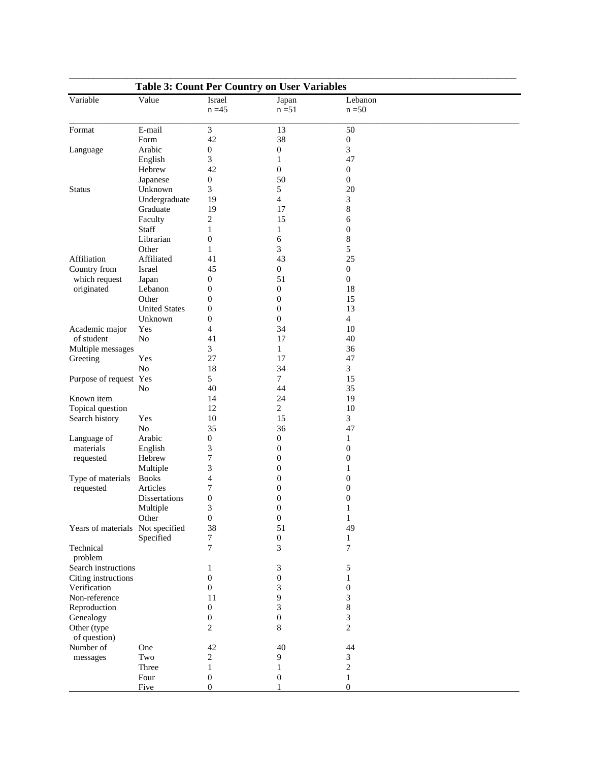| <b>Table 3: Count Per Country on User Variables</b>                                                                                                                                                                                                                                                                                                                                                                             |                      |                       |                             |                     |  |  |  |
|---------------------------------------------------------------------------------------------------------------------------------------------------------------------------------------------------------------------------------------------------------------------------------------------------------------------------------------------------------------------------------------------------------------------------------|----------------------|-----------------------|-----------------------------|---------------------|--|--|--|
| Variable                                                                                                                                                                                                                                                                                                                                                                                                                        | Value                | Israel<br>$n = 45$    | Japan<br>$n = 51$           | Lebanon<br>$n = 50$ |  |  |  |
|                                                                                                                                                                                                                                                                                                                                                                                                                                 | E-mail               | 3                     | 13                          | 50                  |  |  |  |
|                                                                                                                                                                                                                                                                                                                                                                                                                                 | Form                 | 42                    | 38                          | $\boldsymbol{0}$    |  |  |  |
|                                                                                                                                                                                                                                                                                                                                                                                                                                 | Arabic               | $\boldsymbol{0}$      | $\boldsymbol{0}$            | $\mathfrak{Z}$      |  |  |  |
| Format<br>Language<br><b>Status</b><br>Affiliation<br>Country from<br>which request<br>originated<br>Academic major<br>of student<br>Multiple messages<br>Greeting<br>Known item<br>Topical question<br>Search history<br>Language of<br>materials<br>requested<br>requested<br>Technical<br>problem<br>Search instructions<br>Citing instructions<br>Verification<br>Non-reference<br>Reproduction<br>Genealogy<br>Other (type | English              | 3                     | 1                           | 47                  |  |  |  |
|                                                                                                                                                                                                                                                                                                                                                                                                                                 | Hebrew               | 42                    | $\boldsymbol{0}$            | $\boldsymbol{0}$    |  |  |  |
|                                                                                                                                                                                                                                                                                                                                                                                                                                 | Japanese             | $\boldsymbol{0}$      | 50                          | $\boldsymbol{0}$    |  |  |  |
|                                                                                                                                                                                                                                                                                                                                                                                                                                 | Unknown              | 3                     | 5                           | 20                  |  |  |  |
|                                                                                                                                                                                                                                                                                                                                                                                                                                 | Undergraduate        | 19                    | $\overline{4}$              | 3                   |  |  |  |
|                                                                                                                                                                                                                                                                                                                                                                                                                                 | Graduate             | 19                    | 17                          | 8                   |  |  |  |
|                                                                                                                                                                                                                                                                                                                                                                                                                                 | Faculty              | 2                     | 15                          | 6                   |  |  |  |
|                                                                                                                                                                                                                                                                                                                                                                                                                                 | Staff                | 1                     | $\mathbf{1}$                | $\boldsymbol{0}$    |  |  |  |
|                                                                                                                                                                                                                                                                                                                                                                                                                                 | Librarian            | $\boldsymbol{0}$      | 6                           | 8                   |  |  |  |
|                                                                                                                                                                                                                                                                                                                                                                                                                                 | Other                | $\mathbf{1}$          | 3                           | 5                   |  |  |  |
|                                                                                                                                                                                                                                                                                                                                                                                                                                 | Affiliated           | 41                    | 43                          | 25                  |  |  |  |
|                                                                                                                                                                                                                                                                                                                                                                                                                                 | Israel               | 45                    | $\mathbf{0}$                | $\mathbf{0}$        |  |  |  |
|                                                                                                                                                                                                                                                                                                                                                                                                                                 |                      |                       | 51                          | $\mathbf{0}$        |  |  |  |
|                                                                                                                                                                                                                                                                                                                                                                                                                                 | Japan<br>Lebanon     | 0<br>$\boldsymbol{0}$ | $\mathbf{0}$                | 18                  |  |  |  |
|                                                                                                                                                                                                                                                                                                                                                                                                                                 | Other                |                       |                             |                     |  |  |  |
|                                                                                                                                                                                                                                                                                                                                                                                                                                 |                      | $\boldsymbol{0}$      | $\boldsymbol{0}$            | 15                  |  |  |  |
|                                                                                                                                                                                                                                                                                                                                                                                                                                 | <b>United States</b> | 0                     | $\boldsymbol{0}$            | 13                  |  |  |  |
|                                                                                                                                                                                                                                                                                                                                                                                                                                 | Unknown              | $\boldsymbol{0}$      | $\boldsymbol{0}$            | $\overline{4}$      |  |  |  |
|                                                                                                                                                                                                                                                                                                                                                                                                                                 | Yes                  | $\overline{4}$        | 34                          | 10                  |  |  |  |
|                                                                                                                                                                                                                                                                                                                                                                                                                                 | N <sub>o</sub>       | 41                    | 17                          | 40                  |  |  |  |
|                                                                                                                                                                                                                                                                                                                                                                                                                                 |                      | 3                     | $\mathbf{1}$                | 36                  |  |  |  |
|                                                                                                                                                                                                                                                                                                                                                                                                                                 | Yes                  | 27                    | 17                          | 47                  |  |  |  |
|                                                                                                                                                                                                                                                                                                                                                                                                                                 | No                   | 18                    | 34                          | $\mathfrak{Z}$      |  |  |  |
|                                                                                                                                                                                                                                                                                                                                                                                                                                 |                      | 5                     | $\tau$                      | 15                  |  |  |  |
|                                                                                                                                                                                                                                                                                                                                                                                                                                 | No                   | 40                    | 44                          | 35                  |  |  |  |
|                                                                                                                                                                                                                                                                                                                                                                                                                                 |                      | 14                    | 24                          | 19                  |  |  |  |
|                                                                                                                                                                                                                                                                                                                                                                                                                                 |                      | 12                    | $\overline{c}$              | 10                  |  |  |  |
|                                                                                                                                                                                                                                                                                                                                                                                                                                 | Yes                  | 10                    | 15                          | 3                   |  |  |  |
|                                                                                                                                                                                                                                                                                                                                                                                                                                 | No                   | 35                    | 36                          | 47                  |  |  |  |
|                                                                                                                                                                                                                                                                                                                                                                                                                                 | Arabic               | $\boldsymbol{0}$      | $\boldsymbol{0}$            | $\mathbf{1}$        |  |  |  |
|                                                                                                                                                                                                                                                                                                                                                                                                                                 | English              | 3                     | $\mathbf{0}$                | $\boldsymbol{0}$    |  |  |  |
|                                                                                                                                                                                                                                                                                                                                                                                                                                 | Hebrew               | 7                     | $\boldsymbol{0}$            | $\boldsymbol{0}$    |  |  |  |
|                                                                                                                                                                                                                                                                                                                                                                                                                                 | Multiple             | 3                     | $\boldsymbol{0}$            | $\mathbf{1}$        |  |  |  |
|                                                                                                                                                                                                                                                                                                                                                                                                                                 | <b>Books</b>         | 4                     | $\boldsymbol{0}$            | $\boldsymbol{0}$    |  |  |  |
|                                                                                                                                                                                                                                                                                                                                                                                                                                 | Articles             | 7                     | $\mathbf{0}$                | $\boldsymbol{0}$    |  |  |  |
| Purpose of request Yes<br>Type of materials<br>Years of materials Not specified                                                                                                                                                                                                                                                                                                                                                 | <b>Dissertations</b> | $\mathbf{0}$          | $\mathbf{0}$                | $\boldsymbol{0}$    |  |  |  |
|                                                                                                                                                                                                                                                                                                                                                                                                                                 | Multiple             | 3                     | $\boldsymbol{0}$            | $\mathbf{1}$        |  |  |  |
|                                                                                                                                                                                                                                                                                                                                                                                                                                 | Other                | $\boldsymbol{0}$      | $\boldsymbol{0}$            | $\mathbf{1}$        |  |  |  |
|                                                                                                                                                                                                                                                                                                                                                                                                                                 | Specified            | 38<br>7               | 51<br>$\boldsymbol{0}$      | 49<br>$\mathbf{1}$  |  |  |  |
|                                                                                                                                                                                                                                                                                                                                                                                                                                 |                      | 7                     | 3                           | 7                   |  |  |  |
|                                                                                                                                                                                                                                                                                                                                                                                                                                 |                      |                       |                             |                     |  |  |  |
|                                                                                                                                                                                                                                                                                                                                                                                                                                 |                      | 1                     | 3                           | 5                   |  |  |  |
|                                                                                                                                                                                                                                                                                                                                                                                                                                 |                      | $\boldsymbol{0}$      | $\mathbf{0}$                | 1                   |  |  |  |
|                                                                                                                                                                                                                                                                                                                                                                                                                                 |                      | $\boldsymbol{0}$      | 3                           | $\boldsymbol{0}$    |  |  |  |
|                                                                                                                                                                                                                                                                                                                                                                                                                                 |                      | 11                    | 9                           | $\mathfrak{Z}$      |  |  |  |
|                                                                                                                                                                                                                                                                                                                                                                                                                                 |                      | $\boldsymbol{0}$      | $\ensuremath{\mathfrak{Z}}$ | $\,$ $\,$           |  |  |  |
|                                                                                                                                                                                                                                                                                                                                                                                                                                 |                      | $\boldsymbol{0}$      | $\boldsymbol{0}$            | $\mathfrak{Z}$      |  |  |  |
|                                                                                                                                                                                                                                                                                                                                                                                                                                 |                      | 2                     | 8                           | $\overline{2}$      |  |  |  |
| of question)                                                                                                                                                                                                                                                                                                                                                                                                                    |                      |                       |                             |                     |  |  |  |
| Number of                                                                                                                                                                                                                                                                                                                                                                                                                       | One                  | 42                    | 40                          | 44                  |  |  |  |
| messages                                                                                                                                                                                                                                                                                                                                                                                                                        | Two                  | 2                     | 9                           | $\mathfrak{Z}$      |  |  |  |
|                                                                                                                                                                                                                                                                                                                                                                                                                                 | Three                | 1                     | 1                           | $\overline{c}$      |  |  |  |
|                                                                                                                                                                                                                                                                                                                                                                                                                                 | Four                 | $\boldsymbol{0}$      | $\boldsymbol{0}$            | $\mathbf{1}$        |  |  |  |
|                                                                                                                                                                                                                                                                                                                                                                                                                                 | Five                 | $\mathbf{0}$          | 1                           | $\boldsymbol{0}$    |  |  |  |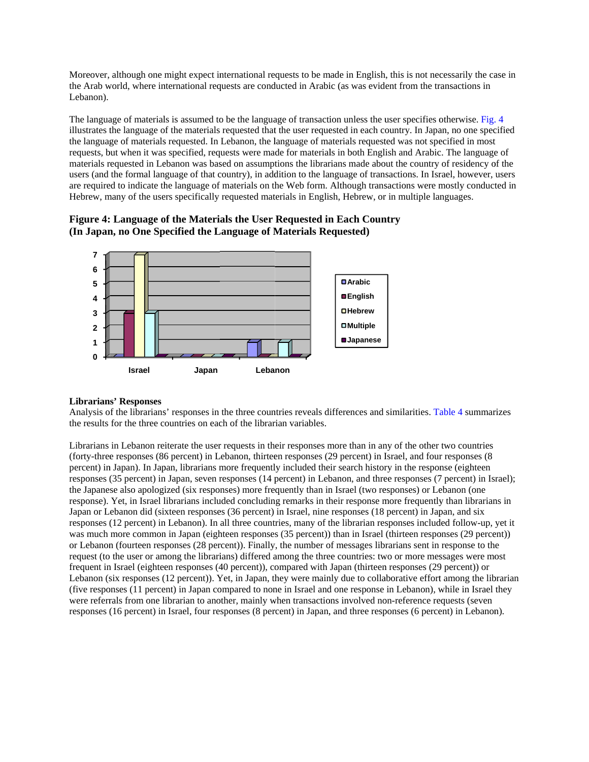Moreover, although one might expect international requests to be made in English, this is not necessarily the case in the Arab world, where international requests are conducted in Arabic (as was evident from the transactions in Lebanon).

The language of materials is assumed to be the language of transaction unless the user specifies otherwise. Fig. 4 illustrates the language of the materials requested that the user requested in each country. In Japan, no one specified the language of materials requested. In Lebanon, the language of materials requested was not specified in most the language of materials requested. In Lebanon, the language of materials requested was not specified in most<br>requests, but when it was specified, requests were made for materials in both English and Arabic. The language materials requested in Lebanon was based on assumptions the librarians made about the country of residency of the users (and the formal language of that country), in addition to the language of transactions. In Israel, however, users are required to indicate the language of materials on the Web form. Although transactions were mostly conducted in Hebrew, many of the users specifically requested materials in English, Hebrew, or in multiple languages.

# Figure 4: Language of the Materials the User Requested in Each Country **(In Japan n, no One Sp ecified the L Language of M Materials Re equested)**



# **Librarian s' Responses**

Analysis of the librarians' responses in the three countries reveals differences and similarities. Table 4 summarizes the results for the three countries on each of the librarian variables.

Librarians in Lebanon reiterate the user requests in their responses more than in any of the other two countries (forty-three responses (86 percent) in Lebanon, thirteen responses (29 percent) in Israel, and four responses (8 percent) in Japan). In Japan, librarians more frequently included their search history in the response (eighteen responses (35 percent) in Japan, seven responses (14 percent) in Lebanon, and three responses (7 percent) in Israel); the Japanese also apologized (six responses) more frequently than in Israel (two responses) or Lebanon (one response). Yet, in Israel librarians included concluding remarks in their response more frequently than librarians in Japan or Lebanon did (sixteen responses (36 percent) in Israel, nine responses (18 percent) in Japan, and six responses (12 percent) in Lebanon). In all three countries, many of the librarian responses included follow-up, yet it was much more common in Japan (eighteen responses (35 percent)) than in Israel (thirteen responses (29 percent)) or Lebanon (fourteen responses (28 percent)). Finally, the number of messages librarians sent in response to the request (to the user or among the librarians) differed among the three countries: two or more messages were most frequent in Israel (eighteen responses (40 percent)), compared with Japan (thirteen responses (29 percent)) or Lebanon (six responses (12 percent)). Yet, in Japan, they were mainly due to collaborative effort among the librarian (five responses (11 percent) in Japan compared to none in Israel and one response in Lebanon), while in Israel they were referrals from one librarian to another, mainly when transactions involved non-reference requests (seven responses (16 percent) in Israel, four responses (8 percent) in Japan, and three responses (6 percent) in Lebanon).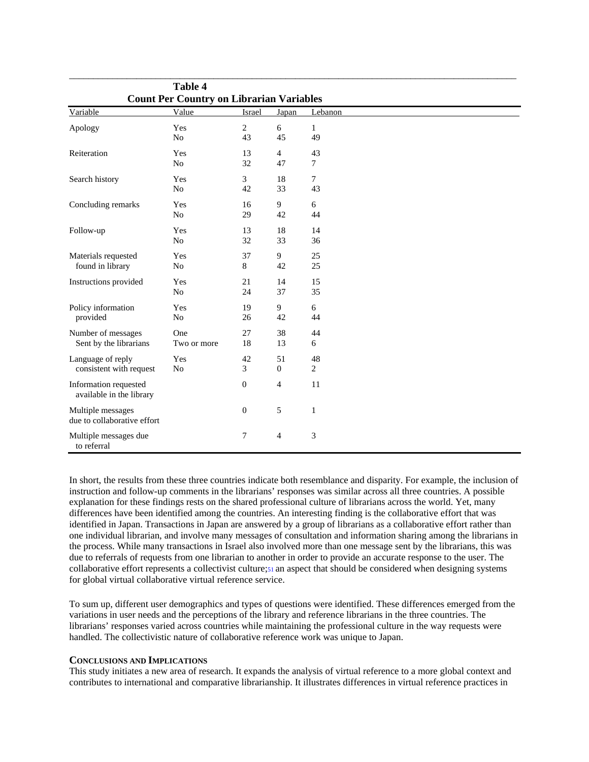|                                                   | <b>Table 4</b> |                  |                |              |  |  |  |
|---------------------------------------------------|----------------|------------------|----------------|--------------|--|--|--|
| <b>Count Per Country on Librarian Variables</b>   |                |                  |                |              |  |  |  |
| Variable                                          | Value          | <b>Israel</b>    | Japan          | Lebanon      |  |  |  |
| Apology                                           | Yes            | $\overline{c}$   | $6\,$          | $\mathbf{1}$ |  |  |  |
|                                                   | No             | 43               | 45             | 49           |  |  |  |
| Reiteration                                       | Yes            | 13               | $\overline{4}$ | 43           |  |  |  |
|                                                   | No             | 32               | 47             | $\tau$       |  |  |  |
| Search history                                    | Yes            | 3                | 18             | $\tau$       |  |  |  |
|                                                   | No             | 42               | 33             | 43           |  |  |  |
| Concluding remarks                                | Yes            | 16               | 9              | 6            |  |  |  |
|                                                   | N <sub>o</sub> | 29               | 42             | 44           |  |  |  |
| Follow-up                                         | Yes            | 13               | 18             | 14           |  |  |  |
|                                                   | No             | 32               | 33             | 36           |  |  |  |
| Materials requested                               | Yes            | 37               | 9              | 25           |  |  |  |
| found in library                                  | No             | 8                | 42             | 25           |  |  |  |
| Instructions provided                             | Yes            | 21               | 14             | 15           |  |  |  |
|                                                   | No             | 24               | 37             | 35           |  |  |  |
| Policy information                                | Yes            | 19               | 9              | 6            |  |  |  |
| provided                                          | No             | 26               | 42             | 44           |  |  |  |
| Number of messages                                | One            | 27               | 38             | 44           |  |  |  |
| Sent by the librarians                            | Two or more    | 18               | 13             | 6            |  |  |  |
| Language of reply                                 | Yes            | 42               | 51             | 48           |  |  |  |
| consistent with request                           | N <sub>o</sub> | 3                | $\mathbf{0}$   | 2            |  |  |  |
| Information requested<br>available in the library |                | $\boldsymbol{0}$ | $\overline{4}$ | 11           |  |  |  |
| Multiple messages<br>due to collaborative effort  |                | $\boldsymbol{0}$ | 5              | $\mathbf{1}$ |  |  |  |
| Multiple messages due<br>to referral              |                | 7                | $\overline{4}$ | 3            |  |  |  |

In short, the results from these three countries indicate both resemblance and disparity. For example, the inclusion of instruction and follow-up comments in the librarians' responses was similar across all three countries. A possible explanation for these findings rests on the shared professional culture of librarians across the world. Yet, many differences have been identified among the countries. An interesting finding is the collaborative effort that was identified in Japan. Transactions in Japan are answered by a group of librarians as a collaborative effort rather than one individual librarian, and involve many messages of consultation and information sharing among the librarians in the process. While many transactions in Israel also involved more than one message sent by the librarians, this was due to referrals of requests from one librarian to another in order to provide an accurate response to the user. The collaborative effort represents a collectivist culture;51 an aspect that should be considered when designing systems for global virtual collaborative virtual reference service.

To sum up, different user demographics and types of questions were identified. These differences emerged from the variations in user needs and the perceptions of the library and reference librarians in the three countries. The librarians' responses varied across countries while maintaining the professional culture in the way requests were handled. The collectivistic nature of collaborative reference work was unique to Japan.

#### **CONCLUSIONS AND IMPLICATIONS**

This study initiates a new area of research. It expands the analysis of virtual reference to a more global context and contributes to international and comparative librarianship. It illustrates differences in virtual reference practices in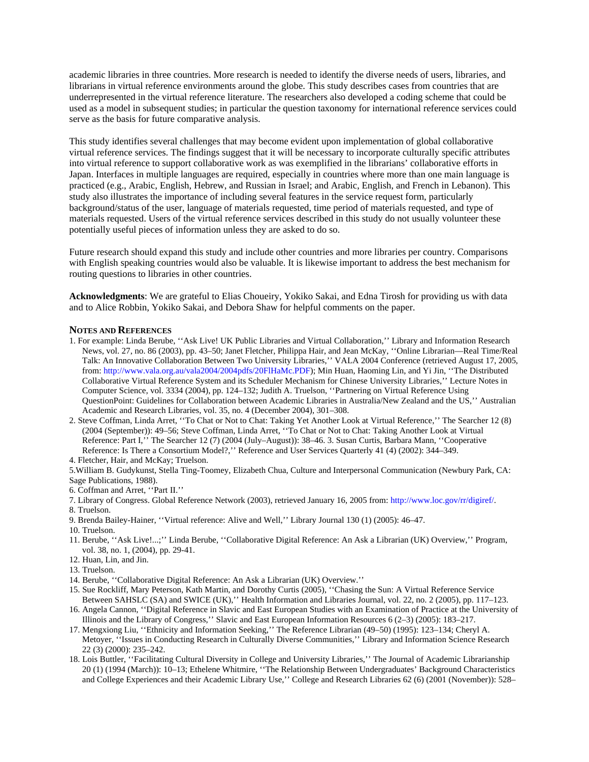academic libraries in three countries. More research is needed to identify the diverse needs of users, libraries, and librarians in virtual reference environments around the globe. This study describes cases from countries that are underrepresented in the virtual reference literature. The researchers also developed a coding scheme that could be used as a model in subsequent studies; in particular the question taxonomy for international reference services could serve as the basis for future comparative analysis.

This study identifies several challenges that may become evident upon implementation of global collaborative virtual reference services. The findings suggest that it will be necessary to incorporate culturally specific attributes into virtual reference to support collaborative work as was exemplified in the librarians' collaborative efforts in Japan. Interfaces in multiple languages are required, especially in countries where more than one main language is practiced (e.g., Arabic, English, Hebrew, and Russian in Israel; and Arabic, English, and French in Lebanon). This study also illustrates the importance of including several features in the service request form, particularly background/status of the user, language of materials requested, time period of materials requested, and type of materials requested. Users of the virtual reference services described in this study do not usually volunteer these potentially useful pieces of information unless they are asked to do so.

Future research should expand this study and include other countries and more libraries per country. Comparisons with English speaking countries would also be valuable. It is likewise important to address the best mechanism for routing questions to libraries in other countries.

**Acknowledgments**: We are grateful to Elias Choueiry, Yokiko Sakai, and Edna Tirosh for providing us with data and to Alice Robbin, Yokiko Sakai, and Debora Shaw for helpful comments on the paper.

#### **NOTES AND REFERENCES**

- 1. For example: Linda Berube, ''Ask Live! UK Public Libraries and Virtual Collaboration,'' Library and Information Research News, vol. 27, no. 86 (2003), pp. 43–50; Janet Fletcher, Philippa Hair, and Jean McKay, ''Online Librarian—Real Time/Real Talk: An Innovative Collaboration Between Two University Libraries,'' VALA 2004 Conference (retrieved August 17, 2005, from: http://www.vala.org.au/vala2004/2004pdfs/20FlHaMc.PDF); Min Huan, Haoming Lin, and Yi Jin, ''The Distributed Collaborative Virtual Reference System and its Scheduler Mechanism for Chinese University Libraries,'' Lecture Notes in Computer Science, vol. 3334 (2004), pp. 124–132; Judith A. Truelson, ''Partnering on Virtual Reference Using QuestionPoint: Guidelines for Collaboration between Academic Libraries in Australia/New Zealand and the US,'' Australian Academic and Research Libraries, vol. 35, no. 4 (December 2004), 301–308.
- 2. Steve Coffman, Linda Arret, ''To Chat or Not to Chat: Taking Yet Another Look at Virtual Reference,'' The Searcher 12 (8) (2004 (September)): 49–56; Steve Coffman, Linda Arret, ''To Chat or Not to Chat: Taking Another Look at Virtual Reference: Part I,'' The Searcher 12 (7) (2004 (July–August)): 38–46. 3. Susan Curtis, Barbara Mann, ''Cooperative Reference: Is There a Consortium Model?,'' Reference and User Services Quarterly 41 (4) (2002): 344–349.

4. Fletcher, Hair, and McKay; Truelson.

5.William B. Gudykunst, Stella Ting-Toomey, Elizabeth Chua, Culture and Interpersonal Communication (Newbury Park, CA: Sage Publications, 1988).

- 6. Coffman and Arret, ''Part II.''
- 7. Library of Congress. Global Reference Network (2003), retrieved January 16, 2005 from: http://www.loc.gov/rr/digiref/.
- 8. Truelson.
- 9. Brenda Bailey-Hainer, ''Virtual reference: Alive and Well,'' Library Journal 130 (1) (2005): 46–47.
- 10. Truelson.
- 11. Berube, ''Ask Live!...;'' Linda Berube, ''Collaborative Digital Reference: An Ask a Librarian (UK) Overview,'' Program, vol. 38, no. 1, (2004), pp. 29-41.
- 12. Huan, Lin, and Jin.
- 13. Truelson.
- 14. Berube, ''Collaborative Digital Reference: An Ask a Librarian (UK) Overview.''
- 15. Sue Rockliff, Mary Peterson, Kath Martin, and Dorothy Curtis (2005), ''Chasing the Sun: A Virtual Reference Service Between SAHSLC (SA) and SWICE (UK),'' Health Information and Libraries Journal, vol. 22, no. 2 (2005), pp. 117–123.
- 16. Angela Cannon, ''Digital Reference in Slavic and East European Studies with an Examination of Practice at the University of Illinois and the Library of Congress,'' Slavic and East European Information Resources 6 (2–3) (2005): 183–217.
- 17. Mengxiong Liu, ''Ethnicity and Information Seeking,'' The Reference Librarian (49–50) (1995): 123–134; Cheryl A. Metoyer, ''Issues in Conducting Research in Culturally Diverse Communities,'' Library and Information Science Research 22 (3) (2000): 235–242.
- 18. Lois Buttler, ''Facilitating Cultural Diversity in College and University Libraries,'' The Journal of Academic Librarianship 20 (1) (1994 (March)): 10–13; Ethelene Whitmire, ''The Relationship Between Undergraduates' Background Characteristics and College Experiences and their Academic Library Use,'' College and Research Libraries 62 (6) (2001 (November)): 528–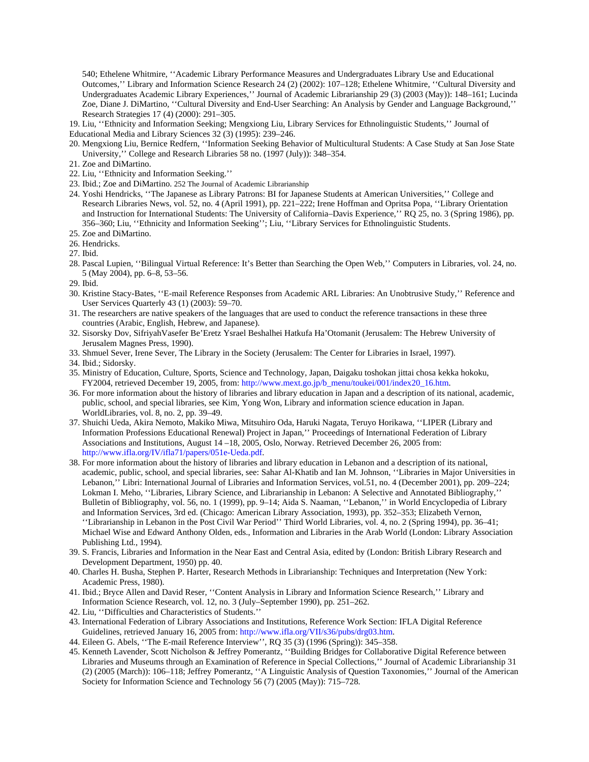540; Ethelene Whitmire, ''Academic Library Performance Measures and Undergraduates Library Use and Educational Outcomes,'' Library and Information Science Research 24 (2) (2002): 107–128; Ethelene Whitmire, ''Cultural Diversity and Undergraduates Academic Library Experiences,'' Journal of Academic Librarianship 29 (3) (2003 (May)): 148–161; Lucinda Zoe, Diane J. DiMartino, ''Cultural Diversity and End-User Searching: An Analysis by Gender and Language Background,'' Research Strategies 17 (4) (2000): 291–305.

19. Liu, ''Ethnicity and Information Seeking; Mengxiong Liu, Library Services for Ethnolinguistic Students,'' Journal of Educational Media and Library Sciences 32 (3) (1995): 239–246.

- 20. Mengxiong Liu, Bernice Redfern, ''Information Seeking Behavior of Multicultural Students: A Case Study at San Jose State University,'' College and Research Libraries 58 no. (1997 (July)): 348–354.
- 21. Zoe and DiMartino.
- 22. Liu, ''Ethnicity and Information Seeking.''
- 23. Ibid.; Zoe and DiMartino. 252 The Journal of Academic Librarianship
- 24. Yoshi Hendricks, ''The Japanese as Library Patrons: BI for Japanese Students at American Universities,'' College and Research Libraries News, vol. 52, no. 4 (April 1991), pp. 221–222; Irene Hoffman and Opritsa Popa, ''Library Orientation and Instruction for International Students: The University of California–Davis Experience,'' RQ 25, no. 3 (Spring 1986), pp. 356–360; Liu, ''Ethnicity and Information Seeking''; Liu, ''Library Services for Ethnolinguistic Students.
- 25. Zoe and DiMartino.
- 26. Hendricks.
- 27. Ibid.
- 28. Pascal Lupien, ''Bilingual Virtual Reference: It's Better than Searching the Open Web,'' Computers in Libraries, vol. 24, no. 5 (May 2004), pp. 6–8, 53–56.
- 29. Ibid.
- 30. Kristine Stacy-Bates, ''E-mail Reference Responses from Academic ARL Libraries: An Unobtrusive Study,'' Reference and User Services Quarterly 43 (1) (2003): 59–70.
- 31. The researchers are native speakers of the languages that are used to conduct the reference transactions in these three countries (Arabic, English, Hebrew, and Japanese).
- 32. Sisorsky Dov, SifriyahVasefer Be'Eretz Ysrael Beshalhei Hatkufa Ha'Otomanit (Jerusalem: The Hebrew University of Jerusalem Magnes Press, 1990).
- 33. Shmuel Sever, Irene Sever, The Library in the Society (Jerusalem: The Center for Libraries in Israel, 1997).

34. Ibid.; Sidorsky.

- 35. Ministry of Education, Culture, Sports, Science and Technology, Japan, Daigaku toshokan jittai chosa kekka hokoku, FY2004, retrieved December 19, 2005, from: http://www.mext.go.jp/b\_menu/toukei/001/index20\_16.htm.
- 36. For more information about the history of libraries and library education in Japan and a description of its national, academic, public, school, and special libraries, see Kim, Yong Won, Library and information science education in Japan. WorldLibraries, vol. 8, no. 2, pp. 39–49.
- 37. Shuichi Ueda, Akira Nemoto, Makiko Miwa, Mitsuhiro Oda, Haruki Nagata, Teruyo Horikawa, ''LIPER (Library and Information Professions Educational Renewal) Project in Japan,'' Proceedings of International Federation of Library Associations and Institutions, August 14 –18, 2005, Oslo, Norway. Retrieved December 26, 2005 from: http://www.ifla.org/IV/ifla71/papers/051e-Ueda.pdf.
- 38. For more information about the history of libraries and library education in Lebanon and a description of its national, academic, public, school, and special libraries, see: Sahar Al-Khatib and Ian M. Johnson, ''Libraries in Major Universities in Lebanon,'' Libri: International Journal of Libraries and Information Services, vol.51, no. 4 (December 2001), pp. 209–224; Lokman I. Meho, ''Libraries, Library Science, and Librarianship in Lebanon: A Selective and Annotated Bibliography,'' Bulletin of Bibliography, vol. 56, no. 1 (1999), pp. 9–14; Aida S. Naaman, ''Lebanon,'' in World Encyclopedia of Library and Information Services, 3rd ed. (Chicago: American Library Association, 1993), pp. 352–353; Elizabeth Vernon, ''Librarianship in Lebanon in the Post Civil War Period'' Third World Libraries, vol. 4, no. 2 (Spring 1994), pp. 36–41; Michael Wise and Edward Anthony Olden, eds., Information and Libraries in the Arab World (London: Library Association Publishing Ltd., 1994).
- 39. S. Francis, Libraries and Information in the Near East and Central Asia, edited by (London: British Library Research and Development Department, 1950) pp. 40.
- 40. Charles H. Busha, Stephen P. Harter, Research Methods in Librarianship: Techniques and Interpretation (New York: Academic Press, 1980).
- 41. Ibid.; Bryce Allen and David Reser, ''Content Analysis in Library and Information Science Research,'' Library and Information Science Research, vol. 12, no. 3 (July–September 1990), pp. 251–262.
- 42. Liu, ''Difficulties and Characteristics of Students.''
- 43. International Federation of Library Associations and Institutions, Reference Work Section: IFLA Digital Reference Guidelines, retrieved January 16, 2005 from: http://www.ifla.org/VII/s36/pubs/drg03.htm.
- 44. Eileen G. Abels, ''The E-mail Reference Interview'', RQ 35 (3) (1996 (Spring)): 345–358.
- 45. Kenneth Lavender, Scott Nicholson & Jeffrey Pomerantz, ''Building Bridges for Collaborative Digital Reference between Libraries and Museums through an Examination of Reference in Special Collections,'' Journal of Academic Librarianship 31 (2) (2005 (March)): 106–118; Jeffrey Pomerantz, ''A Linguistic Analysis of Question Taxonomies,'' Journal of the American Society for Information Science and Technology 56 (7) (2005 (May)): 715–728.